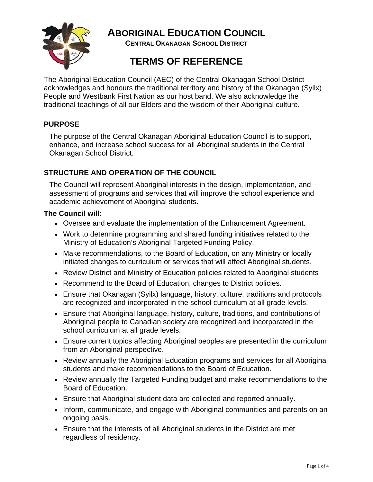

**ABORIGINAL EDUCATION COUNCIL** 

**CENTRAL OKANAGAN SCHOOL DISTRICT** 

# **TERMS OF REFERENCE**

The Aboriginal Education Council (AEC) of the Central Okanagan School District acknowledges and honours the traditional territory and history of the Okanagan (Syilx) People and Westbank First Nation as our host band. We also acknowledge the traditional teachings of all our Elders and the wisdom of their Aboriginal culture.

# **PURPOSE**

The purpose of the Central Okanagan Aboriginal Education Council is to support, enhance, and increase school success for all Aboriginal students in the Central Okanagan School District.

# **STRUCTURE AND OPERATION OF THE COUNCIL**

The Council will represent Aboriginal interests in the design, implementation, and assessment of programs and services that will improve the school experience and academic achievement of Aboriginal students.

## **The Council will**:

- Oversee and evaluate the implementation of the Enhancement Agreement.
- Work to determine programming and shared funding initiatives related to the Ministry of Education's Aboriginal Targeted Funding Policy.
- Make recommendations, to the Board of Education, on any Ministry or locally initiated changes to curriculum or services that will affect Aboriginal students.
- Review District and Ministry of Education policies related to Aboriginal students
- Recommend to the Board of Education, changes to District policies.
- Ensure that Okanagan (Syilx) language, history, culture, traditions and protocols are recognized and incorporated in the school curriculum at all grade levels.
- Ensure that Aboriginal language, history, culture, traditions, and contributions of Aboriginal people to Canadian society are recognized and incorporated in the school curriculum at all grade levels.
- Ensure current topics affecting Aboriginal peoples are presented in the curriculum from an Aboriginal perspective.
- Review annually the Aboriginal Education programs and services for all Aboriginal students and make recommendations to the Board of Education.
- Review annually the Targeted Funding budget and make recommendations to the Board of Education.
- Ensure that Aboriginal student data are collected and reported annually.
- Inform, communicate, and engage with Aboriginal communities and parents on an ongoing basis.
- Ensure that the interests of all Aboriginal students in the District are met regardless of residency.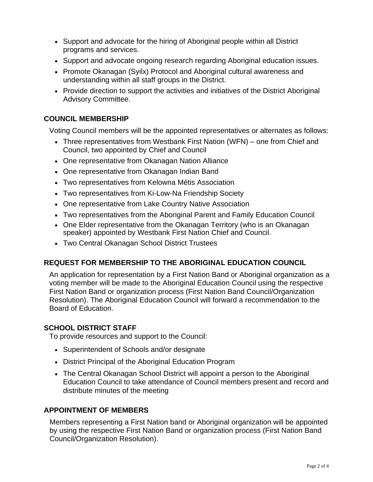- Support and advocate for the hiring of Aboriginal people within all District programs and services.
- Support and advocate ongoing research regarding Aboriginal education issues.
- Promote Okanagan (Syilx) Protocol and Aboriginal cultural awareness and understanding within all staff groups in the District.
- Provide direction to support the activities and initiatives of the District Aboriginal Advisory Committee.

## **COUNCIL MEMBERSHIP**

Voting Council members will be the appointed representatives or alternates as follows:

- Three representatives from Westbank First Nation (WFN) one from Chief and Council, two appointed by Chief and Council
- One representative from Okanagan Nation Alliance
- One representative from Okanagan Indian Band
- Two representatives from Kelowna Métis Association
- Two representatives from Ki-Low-Na Friendship Society
- One representative from Lake Country Native Association
- Two representatives from the Aboriginal Parent and Family Education Council
- One Elder representative from the Okanagan Territory (who is an Okanagan speaker) appointed by Westbank First Nation Chief and Council.
- Two Central Okanagan School District Trustees

# **REQUEST FOR MEMBERSHIP TO THE ABORIGINAL EDUCATION COUNCIL**

An application for representation by a First Nation Band or Aboriginal organization as a voting member will be made to the Aboriginal Education Council using the respective First Nation Band or organization process (First Nation Band Council/Organization Resolution). The Aboriginal Education Council will forward a recommendation to the Board of Education.

## **SCHOOL DISTRICT STAFF**

To provide resources and support to the Council:

- Superintendent of Schools and/or designate
- District Principal of the Aboriginal Education Program
- The Central Okanagan School District will appoint a person to the Aboriginal Education Council to take attendance of Council members present and record and distribute minutes of the meeting

## **APPOINTMENT OF MEMBERS**

Members representing a First Nation band or Aboriginal organization will be appointed by using the respective First Nation Band or organization process (First Nation Band Council/Organization Resolution).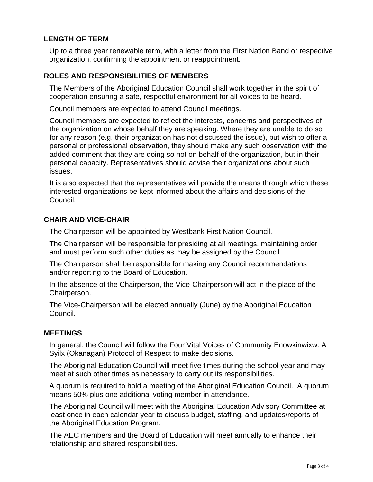# **LENGTH OF TERM**

Up to a three year renewable term, with a letter from the First Nation Band or respective organization, confirming the appointment or reappointment.

## **ROLES AND RESPONSIBILITIES OF MEMBERS**

The Members of the Aboriginal Education Council shall work together in the spirit of cooperation ensuring a safe, respectful environment for all voices to be heard.

Council members are expected to attend Council meetings.

Council members are expected to reflect the interests, concerns and perspectives of the organization on whose behalf they are speaking. Where they are unable to do so for any reason (e.g. their organization has not discussed the issue), but wish to offer a personal or professional observation, they should make any such observation with the added comment that they are doing so not on behalf of the organization, but in their personal capacity. Representatives should advise their organizations about such issues.

It is also expected that the representatives will provide the means through which these interested organizations be kept informed about the affairs and decisions of the Council.

## **CHAIR AND VICE-CHAIR**

The Chairperson will be appointed by Westbank First Nation Council.

The Chairperson will be responsible for presiding at all meetings, maintaining order and must perform such other duties as may be assigned by the Council.

The Chairperson shall be responsible for making any Council recommendations and/or reporting to the Board of Education.

In the absence of the Chairperson, the Vice-Chairperson will act in the place of the Chairperson.

The Vice-Chairperson will be elected annually (June) by the Aboriginal Education Council.

#### **MEETINGS**

In general, the Council will follow the Four Vital Voices of Community Enowkinwixw: A Syilx (Okanagan) Protocol of Respect to make decisions.

The Aboriginal Education Council will meet five times during the school year and may meet at such other times as necessary to carry out its responsibilities.

A quorum is required to hold a meeting of the Aboriginal Education Council. A quorum means 50% plus one additional voting member in attendance.

The Aboriginal Council will meet with the Aboriginal Education Advisory Committee at least once in each calendar year to discuss budget, staffing, and updates/reports of the Aboriginal Education Program.

The AEC members and the Board of Education will meet annually to enhance their relationship and shared responsibilities.